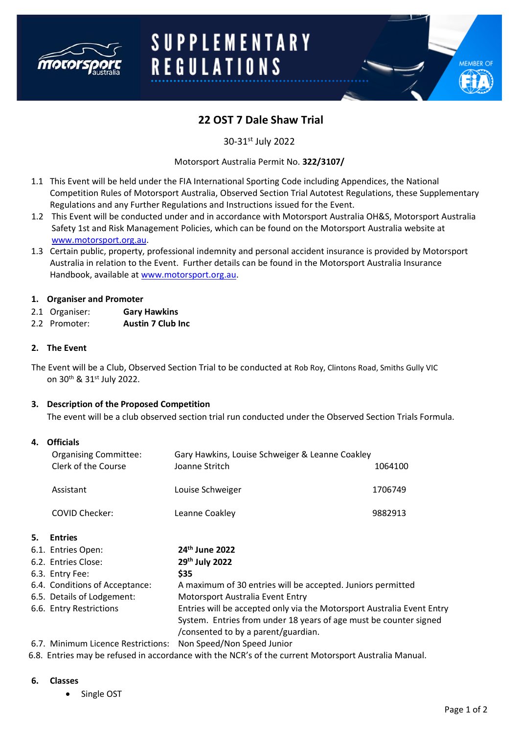

# **SUPPLEMENTARY REGULATIONS**

# **22 OST 7 Dale Shaw Trial**

30-31st July 2022

Motorsport Australia Permit No. **322/3107/**

- 1.1 This Event will be held under the FIA International Sporting Code including Appendices, the National Competition Rules of Motorsport Australia, Observed Section Trial Autotest Regulations, these Supplementary Regulations and any Further Regulations and Instructions issued for the Event.
- 1.2 This Event will be conducted under and in accordance with Motorsport Australia OH&S, Motorsport Australia Safety 1st and Risk Management Policies, which can be found on the Motorsport Australia website at [www.motorsport.org.au.](http://www.motorsport.org.au/)
- 1.3 Certain public, property, professional indemnity and personal accident insurance is provided by Motorsport Australia in relation to the Event. Further details can be found in the Motorsport Australia Insurance Handbook, available at [www.motorsport.org.au.](http://www.motorsport.org.au/)

#### **1. Organiser and Promoter**

- 2.1 Organiser: **Gary Hawkins**
- 2.2 Promoter: **Austin 7 Club Inc**

#### **2. The Event**

The Event will be a Club, Observed Section Trial to be conducted at Rob Roy, Clintons Road, Smiths Gully VIC on 30th & 31st July 2022.

#### **3. Description of the Proposed Competition**

The event will be a club observed section trial run conducted under the Observed Section Trials Formula.

#### **4. Officials**

|    | <b>Organising Committee:</b>       | Gary Hawkins, Louise Schweiger & Leanne Coakley                        |         |
|----|------------------------------------|------------------------------------------------------------------------|---------|
|    | Clerk of the Course                | Joanne Stritch                                                         | 1064100 |
|    | Assistant                          | Louise Schweiger                                                       | 1706749 |
|    | <b>COVID Checker:</b>              | Leanne Coakley                                                         | 9882913 |
| 5. | <b>Entries</b>                     |                                                                        |         |
|    | 6.1. Entries Open:                 | 24 <sup>th</sup> June 2022                                             |         |
|    | 6.2. Entries Close:                | 29th July 2022                                                         |         |
|    | 6.3. Entry Fee:                    | \$35                                                                   |         |
|    | 6.4. Conditions of Acceptance:     | A maximum of 30 entries will be accepted. Juniors permitted            |         |
|    | 6.5. Details of Lodgement:         | Motorsport Australia Event Entry                                       |         |
|    | 6.6. Entry Restrictions            | Entries will be accepted only via the Motorsport Australia Event Entry |         |
|    |                                    | System. Entries from under 18 years of age must be counter signed      |         |
|    |                                    | /consented to by a parent/guardian.                                    |         |
|    | 6.7. Minimum Licence Restrictions: | Non Speed/Non Speed Junior                                             |         |

6.8. Entries may be refused in accordance with the NCR's of the current Motorsport Australia Manual.

#### **6. Classes**

• Single OST